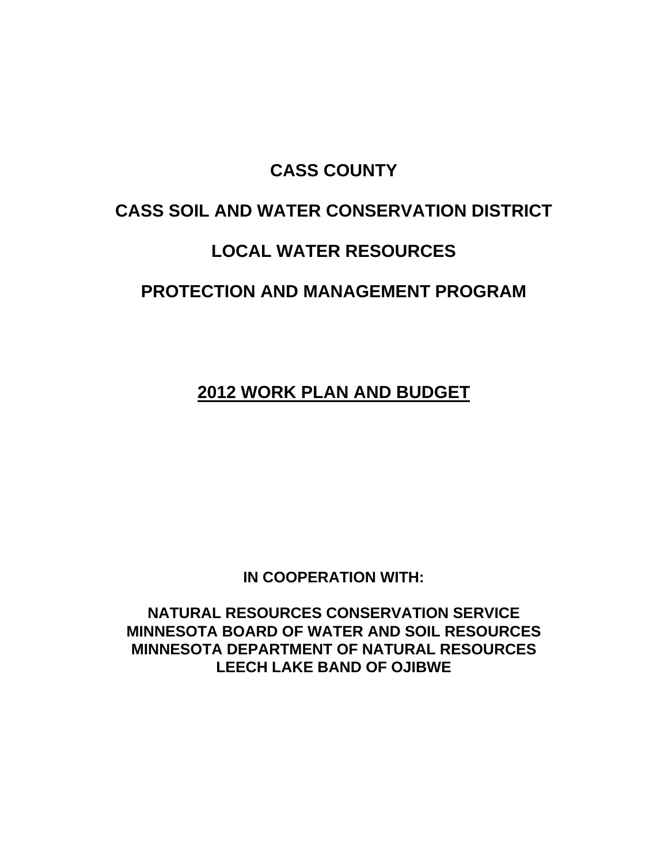## **CASS COUNTY**

# **CASS SOIL AND WATER CONSERVATION DISTRICT**

# **LOCAL WATER RESOURCES**

# **PROTECTION AND MANAGEMENT PROGRAM**

**2012 WORK PLAN AND BUDGET**

**IN COOPERATION WITH:**

**NATURAL RESOURCES CONSERVATION SERVICE MINNESOTA BOARD OF WATER AND SOIL RESOURCES MINNESOTA DEPARTMENT OF NATURAL RESOURCES LEECH LAKE BAND OF OJIBWE**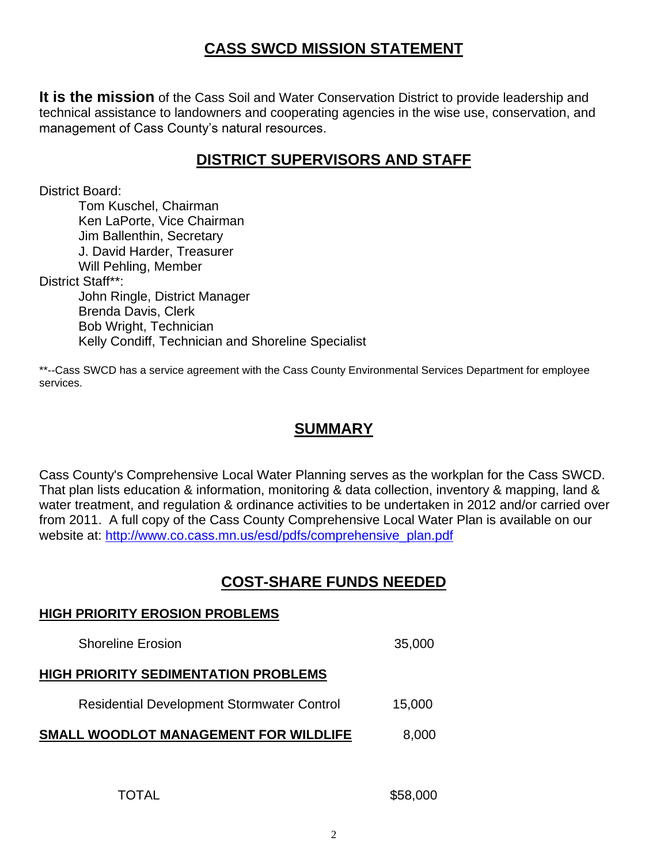## **CASS SWCD MISSION STATEMENT**

**It is the mission** of the Cass Soil and Water Conservation District to provide leadership and technical assistance to landowners and cooperating agencies in the wise use, conservation, and management of Cass County's natural resources.

## **DISTRICT SUPERVISORS AND STAFF**

District Board:

Tom Kuschel, Chairman Ken LaPorte, Vice Chairman Jim Ballenthin, Secretary J. David Harder, Treasurer Will Pehling, Member District Staff\*\*: John Ringle, District Manager Brenda Davis, Clerk Bob Wright, Technician Kelly Condiff, Technician and Shoreline Specialist

\*\*--Cass SWCD has a service agreement with the Cass County Environmental Services Department for employee services.

#### **SUMMARY**

Cass County's Comprehensive Local Water Planning serves as the workplan for the Cass SWCD. That plan lists education & information, monitoring & data collection, inventory & mapping, land & water treatment, and regulation & ordinance activities to be undertaken in 2012 and/or carried over from 2011. A full copy of the Cass County Comprehensive Local Water Plan is available on our website at: [http://www.co.cass.mn.us/esd/pdfs/comprehensive\\_plan.pdf](http://www.co.cass.mn.us/esd/pdfs/comprehensive_plan.pdf)

## **COST-SHARE FUNDS NEEDED**

# **HIGH PRIORITY EROSION PROBLEMS** Shoreline Erosion 35,000 **HIGH PRIORITY SEDIMENTATION PROBLEMS** Residential Development Stormwater Control 15,000 **SMALL WOODLOT MANAGEMENT FOR WILDLIFE** 8,000

TOTAL \$58,000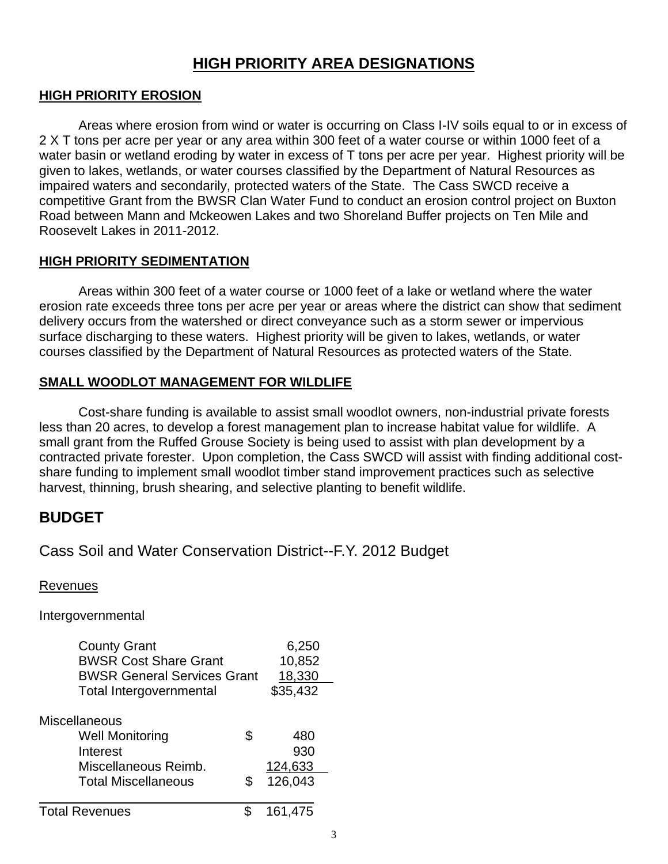#### **HIGH PRIORITY AREA DESIGNATIONS**

#### **HIGH PRIORITY EROSION**

Areas where erosion from wind or water is occurring on Class I-IV soils equal to or in excess of 2 X T tons per acre per year or any area within 300 feet of a water course or within 1000 feet of a water basin or wetland eroding by water in excess of T tons per acre per year. Highest priority will be given to lakes, wetlands, or water courses classified by the Department of Natural Resources as impaired waters and secondarily, protected waters of the State. The Cass SWCD receive a competitive Grant from the BWSR Clan Water Fund to conduct an erosion control project on Buxton Road between Mann and Mckeowen Lakes and two Shoreland Buffer projects on Ten Mile and Roosevelt Lakes in 2011-2012.

#### **HIGH PRIORITY SEDIMENTATION**

Areas within 300 feet of a water course or 1000 feet of a lake or wetland where the water erosion rate exceeds three tons per acre per year or areas where the district can show that sediment delivery occurs from the watershed or direct conveyance such as a storm sewer or impervious surface discharging to these waters. Highest priority will be given to lakes, wetlands, or water courses classified by the Department of Natural Resources as protected waters of the State.

#### **SMALL WOODLOT MANAGEMENT FOR WILDLIFE**

Cost-share funding is available to assist small woodlot owners, non-industrial private forests less than 20 acres, to develop a forest management plan to increase habitat value for wildlife. A small grant from the Ruffed Grouse Society is being used to assist with plan development by a contracted private forester. Upon completion, the Cass SWCD will assist with finding additional costshare funding to implement small woodlot timber stand improvement practices such as selective harvest, thinning, brush shearing, and selective planting to benefit wildlife.

#### **BUDGET**

Cass Soil and Water Conservation District--F.Y. 2012 Budget

Revenues

Intergovernmental

| <b>County Grant</b>                | 6,250  |          |
|------------------------------------|--------|----------|
| <b>BWSR Cost Share Grant</b>       | 10,852 |          |
| <b>BWSR General Services Grant</b> |        | 18,330   |
| <b>Total Intergovernmental</b>     |        | \$35,432 |
| <b>Miscellaneous</b>               |        |          |
| <b>Well Monitoring</b>             | \$     | 480      |
| Interest                           |        | 930      |
| Miscellaneous Reimb.               |        | 124,633  |
| <b>Total Miscellaneous</b>         | S.     | 126,043  |
| <b>Total Revenues</b>              |        | 161,475  |